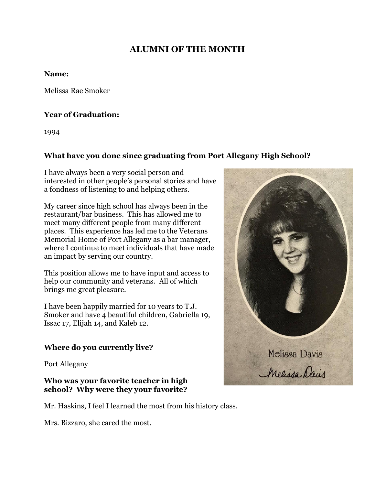# **ALUMNI OF THE MONTH**

#### **Name:**

Melissa Rae Smoker

## **Year of Graduation:**

1994

# **What have you done since graduating from Port Allegany High School?**

I have always been a very social person and interested in other people's personal stories and have a fondness of listening to and helping others.

My career since high school has always been in the restaurant/bar business. This has allowed me to meet many different people from many different places. This experience has led me to the Veterans Memorial Home of Port Allegany as a bar manager, where I continue to meet individuals that have made an impact by serving our country.

This position allows me to have input and access to help our community and veterans. All of which brings me great pleasure.

I have been happily married for 10 years to T.J. Smoker and have 4 beautiful children, Gabriella 19, Issac 17, Elijah 14, and Kaleb 12.

# **Where do you currently live?**

Port Allegany

#### **Who was your favorite teacher in high school? Why were they your favorite?**

Mr. Haskins, I feel I learned the most from his history class.

Mrs. Bizzaro, she cared the most.